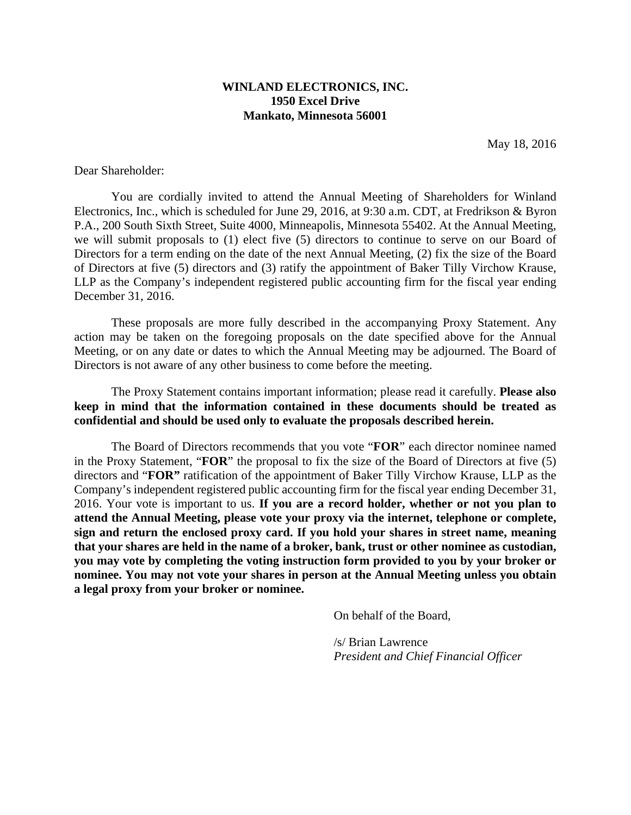# **WINLAND ELECTRONICS, INC. 1950 Excel Drive Mankato, Minnesota 56001**

May 18, 2016

Dear Shareholder:

You are cordially invited to attend the Annual Meeting of Shareholders for Winland Electronics, Inc., which is scheduled for June 29, 2016, at 9:30 a.m. CDT, at Fredrikson & Byron P.A., 200 South Sixth Street, Suite 4000, Minneapolis, Minnesota 55402. At the Annual Meeting, we will submit proposals to (1) elect five (5) directors to continue to serve on our Board of Directors for a term ending on the date of the next Annual Meeting, (2) fix the size of the Board of Directors at five (5) directors and (3) ratify the appointment of Baker Tilly Virchow Krause, LLP as the Company's independent registered public accounting firm for the fiscal year ending December 31, 2016.

These proposals are more fully described in the accompanying Proxy Statement. Any action may be taken on the foregoing proposals on the date specified above for the Annual Meeting, or on any date or dates to which the Annual Meeting may be adjourned. The Board of Directors is not aware of any other business to come before the meeting.

The Proxy Statement contains important information; please read it carefully. **Please also keep in mind that the information contained in these documents should be treated as confidential and should be used only to evaluate the proposals described herein.** 

The Board of Directors recommends that you vote "**FOR**" each director nominee named in the Proxy Statement, "**FOR**" the proposal to fix the size of the Board of Directors at five (5) directors and "**FOR"** ratification of the appointment of Baker Tilly Virchow Krause, LLP as the Company's independent registered public accounting firm for the fiscal year ending December 31, 2016. Your vote is important to us. **If you are a record holder, whether or not you plan to attend the Annual Meeting, please vote your proxy via the internet, telephone or complete, sign and return the enclosed proxy card. If you hold your shares in street name, meaning that your shares are held in the name of a broker, bank, trust or other nominee as custodian, you may vote by completing the voting instruction form provided to you by your broker or nominee. You may not vote your shares in person at the Annual Meeting unless you obtain a legal proxy from your broker or nominee.** 

On behalf of the Board,

/s/ Brian Lawrence *President and Chief Financial Officer*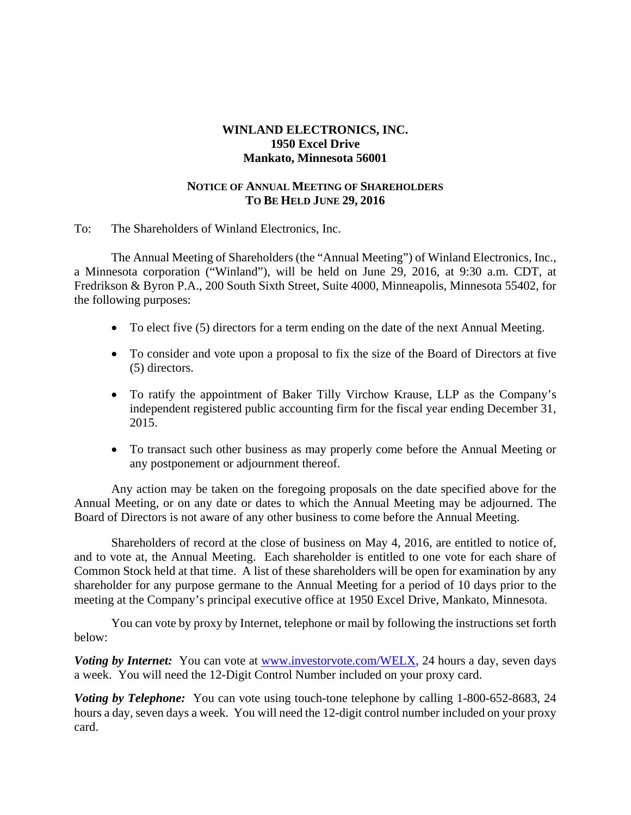# **WINLAND ELECTRONICS, INC. 1950 Excel Drive Mankato, Minnesota 56001**

# **NOTICE OF ANNUAL MEETING OF SHAREHOLDERS TO BE HELD JUNE 29, 2016**

To: The Shareholders of Winland Electronics, Inc.

The Annual Meeting of Shareholders (the "Annual Meeting") of Winland Electronics, Inc., a Minnesota corporation ("Winland"), will be held on June 29, 2016, at 9:30 a.m. CDT, at Fredrikson & Byron P.A., 200 South Sixth Street, Suite 4000, Minneapolis, Minnesota 55402, for the following purposes:

- To elect five (5) directors for a term ending on the date of the next Annual Meeting.
- To consider and vote upon a proposal to fix the size of the Board of Directors at five (5) directors.
- To ratify the appointment of Baker Tilly Virchow Krause, LLP as the Company's independent registered public accounting firm for the fiscal year ending December 31, 2015.
- To transact such other business as may properly come before the Annual Meeting or any postponement or adjournment thereof.

Any action may be taken on the foregoing proposals on the date specified above for the Annual Meeting, or on any date or dates to which the Annual Meeting may be adjourned. The Board of Directors is not aware of any other business to come before the Annual Meeting.

Shareholders of record at the close of business on May 4, 2016, are entitled to notice of, and to vote at, the Annual Meeting. Each shareholder is entitled to one vote for each share of Common Stock held at that time. A list of these shareholders will be open for examination by any shareholder for any purpose germane to the Annual Meeting for a period of 10 days prior to the meeting at the Company's principal executive office at 1950 Excel Drive, Mankato, Minnesota.

You can vote by proxy by Internet, telephone or mail by following the instructions set forth below:

*Voting by Internet:* You can vote at www.investorvote.com/WELX, 24 hours a day, seven days a week. You will need the 12-Digit Control Number included on your proxy card.

*Voting by Telephone:* You can vote using touch-tone telephone by calling 1-800-652-8683, 24 hours a day, seven days a week. You will need the 12-digit control number included on your proxy card.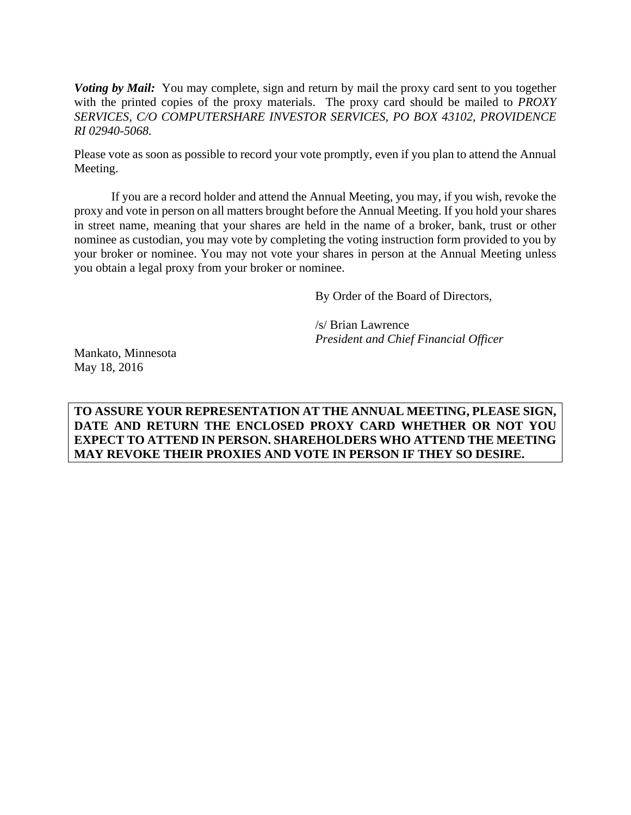*Voting by Mail:* You may complete, sign and return by mail the proxy card sent to you together with the printed copies of the proxy materials. The proxy card should be mailed to *PROXY SERVICES, C/O COMPUTERSHARE INVESTOR SERVICES, PO BOX 43102, PROVIDENCE RI 02940-5068.* 

Please vote as soon as possible to record your vote promptly, even if you plan to attend the Annual Meeting.

If you are a record holder and attend the Annual Meeting, you may, if you wish, revoke the proxy and vote in person on all matters brought before the Annual Meeting. If you hold your shares in street name, meaning that your shares are held in the name of a broker, bank, trust or other nominee as custodian, you may vote by completing the voting instruction form provided to you by your broker or nominee. You may not vote your shares in person at the Annual Meeting unless you obtain a legal proxy from your broker or nominee.

By Order of the Board of Directors,

/s/ Brian Lawrence *President and Chief Financial Officer* 

Mankato, Minnesota May 18, 2016

**TO ASSURE YOUR REPRESENTATION AT THE ANNUAL MEETING, PLEASE SIGN, DATE AND RETURN THE ENCLOSED PROXY CARD WHETHER OR NOT YOU EXPECT TO ATTEND IN PERSON. SHAREHOLDERS WHO ATTEND THE MEETING MAY REVOKE THEIR PROXIES AND VOTE IN PERSON IF THEY SO DESIRE.**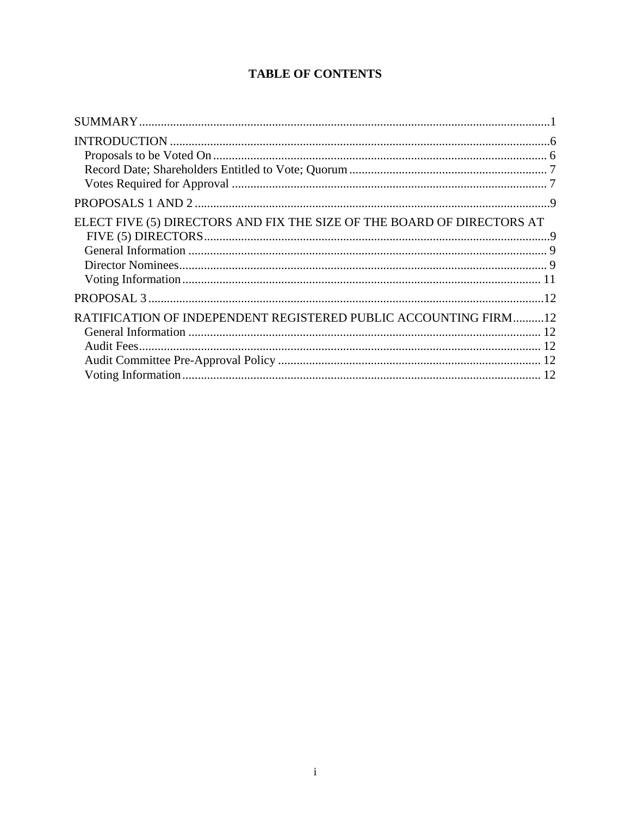# **TABLE OF CONTENTS**

| ELECT FIVE (5) DIRECTORS AND FIX THE SIZE OF THE BOARD OF DIRECTORS AT |  |
|------------------------------------------------------------------------|--|
| RATIFICATION OF INDEPENDENT REGISTERED PUBLIC ACCOUNTING FIRM12        |  |
|                                                                        |  |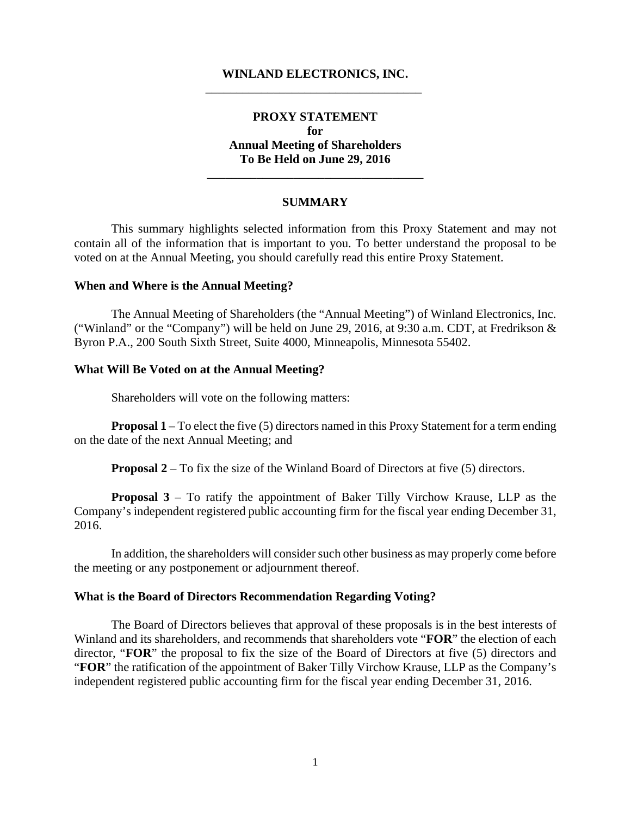### **WINLAND ELECTRONICS, INC.**  \_\_\_\_\_\_\_\_\_\_\_\_\_\_\_\_\_\_\_\_\_\_\_\_\_\_\_\_\_\_\_\_\_\_\_

# **PROXY STATEMENT for Annual Meeting of Shareholders To Be Held on June 29, 2016**

#### **SUMMARY**

\_\_\_\_\_\_\_\_\_\_\_\_\_\_\_\_\_\_\_\_\_\_\_\_\_\_\_\_\_\_\_\_\_\_\_

This summary highlights selected information from this Proxy Statement and may not contain all of the information that is important to you. To better understand the proposal to be voted on at the Annual Meeting, you should carefully read this entire Proxy Statement.

#### **When and Where is the Annual Meeting?**

The Annual Meeting of Shareholders (the "Annual Meeting") of Winland Electronics, Inc. ("Winland" or the "Company") will be held on June 29, 2016, at 9:30 a.m. CDT, at Fredrikson & Byron P.A., 200 South Sixth Street, Suite 4000, Minneapolis, Minnesota 55402.

#### **What Will Be Voted on at the Annual Meeting?**

Shareholders will vote on the following matters:

**Proposal 1** – To elect the five (5) directors named in this Proxy Statement for a term ending on the date of the next Annual Meeting; and

**Proposal 2** – To fix the size of the Winland Board of Directors at five (5) directors.

**Proposal 3** – To ratify the appointment of Baker Tilly Virchow Krause, LLP as the Company's independent registered public accounting firm for the fiscal year ending December 31, 2016.

In addition, the shareholders will consider such other business as may properly come before the meeting or any postponement or adjournment thereof.

#### **What is the Board of Directors Recommendation Regarding Voting?**

The Board of Directors believes that approval of these proposals is in the best interests of Winland and its shareholders, and recommends that shareholders vote "**FOR**" the election of each director, "**FOR**" the proposal to fix the size of the Board of Directors at five (5) directors and "**FOR**" the ratification of the appointment of Baker Tilly Virchow Krause, LLP as the Company's independent registered public accounting firm for the fiscal year ending December 31, 2016.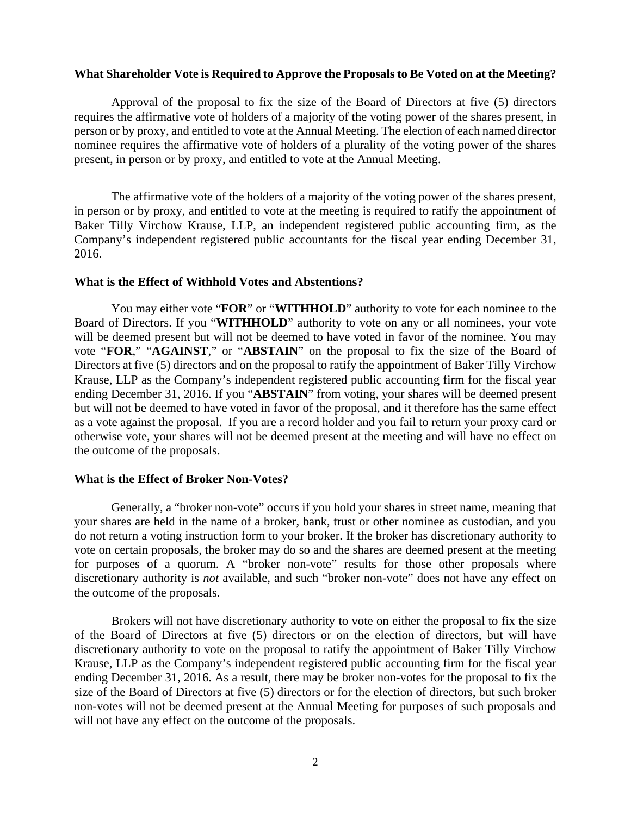#### **What Shareholder Vote is Required to Approve the Proposals to Be Voted on at the Meeting?**

Approval of the proposal to fix the size of the Board of Directors at five (5) directors requires the affirmative vote of holders of a majority of the voting power of the shares present, in person or by proxy, and entitled to vote at the Annual Meeting. The election of each named director nominee requires the affirmative vote of holders of a plurality of the voting power of the shares present, in person or by proxy, and entitled to vote at the Annual Meeting.

 The affirmative vote of the holders of a majority of the voting power of the shares present, in person or by proxy, and entitled to vote at the meeting is required to ratify the appointment of Baker Tilly Virchow Krause, LLP, an independent registered public accounting firm, as the Company's independent registered public accountants for the fiscal year ending December 31, 2016.

#### **What is the Effect of Withhold Votes and Abstentions?**

You may either vote "**FOR**" or "**WITHHOLD**" authority to vote for each nominee to the Board of Directors. If you "**WITHHOLD**" authority to vote on any or all nominees, your vote will be deemed present but will not be deemed to have voted in favor of the nominee. You may vote "**FOR**," "**AGAINST**," or "**ABSTAIN**" on the proposal to fix the size of the Board of Directors at five (5) directors and on the proposal to ratify the appointment of Baker Tilly Virchow Krause, LLP as the Company's independent registered public accounting firm for the fiscal year ending December 31, 2016. If you "**ABSTAIN**" from voting, your shares will be deemed present but will not be deemed to have voted in favor of the proposal, and it therefore has the same effect as a vote against the proposal. If you are a record holder and you fail to return your proxy card or otherwise vote, your shares will not be deemed present at the meeting and will have no effect on the outcome of the proposals.

#### **What is the Effect of Broker Non-Votes?**

Generally, a "broker non-vote" occurs if you hold your shares in street name, meaning that your shares are held in the name of a broker, bank, trust or other nominee as custodian, and you do not return a voting instruction form to your broker. If the broker has discretionary authority to vote on certain proposals, the broker may do so and the shares are deemed present at the meeting for purposes of a quorum. A "broker non-vote" results for those other proposals where discretionary authority is *not* available, and such "broker non-vote" does not have any effect on the outcome of the proposals.

Brokers will not have discretionary authority to vote on either the proposal to fix the size of the Board of Directors at five (5) directors or on the election of directors, but will have discretionary authority to vote on the proposal to ratify the appointment of Baker Tilly Virchow Krause, LLP as the Company's independent registered public accounting firm for the fiscal year ending December 31, 2016. As a result, there may be broker non-votes for the proposal to fix the size of the Board of Directors at five (5) directors or for the election of directors, but such broker non-votes will not be deemed present at the Annual Meeting for purposes of such proposals and will not have any effect on the outcome of the proposals.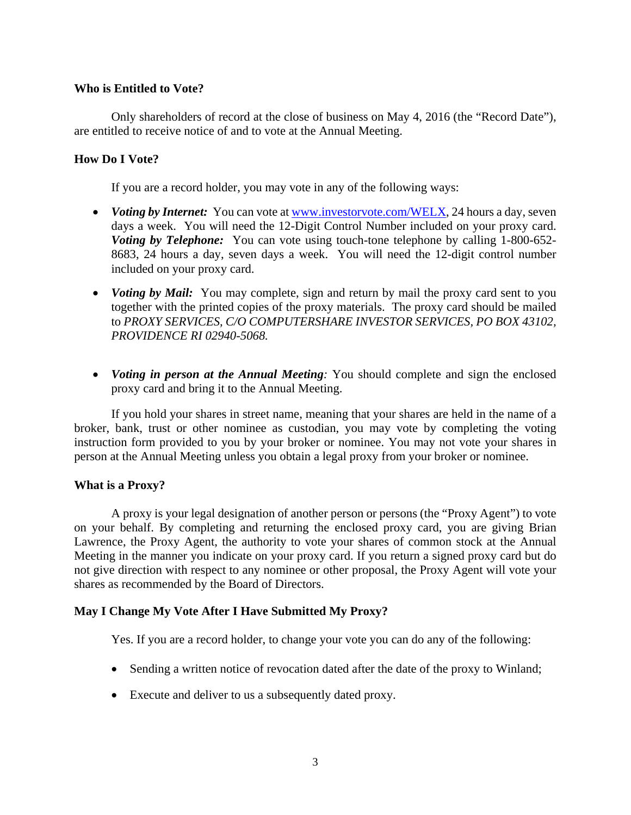# **Who is Entitled to Vote?**

Only shareholders of record at the close of business on May 4, 2016 (the "Record Date"), are entitled to receive notice of and to vote at the Annual Meeting.

# **How Do I Vote?**

If you are a record holder, you may vote in any of the following ways:

- *Voting by Internet:* You can vote at <u>www.investorvote.com/WELX</u>, 24 hours a day, seven days a week. You will need the 12-Digit Control Number included on your proxy card. *Voting by Telephone:* You can vote using touch-tone telephone by calling 1-800-652-8683, 24 hours a day, seven days a week. You will need the 12-digit control number included on your proxy card.
- *Voting by Mail:* You may complete, sign and return by mail the proxy card sent to you together with the printed copies of the proxy materials. The proxy card should be mailed to *PROXY SERVICES, C/O COMPUTERSHARE INVESTOR SERVICES, PO BOX 43102, PROVIDENCE RI 02940-5068.*
- *Voting in person at the Annual Meeting*: You should complete and sign the enclosed proxy card and bring it to the Annual Meeting.

If you hold your shares in street name, meaning that your shares are held in the name of a broker, bank, trust or other nominee as custodian, you may vote by completing the voting instruction form provided to you by your broker or nominee. You may not vote your shares in person at the Annual Meeting unless you obtain a legal proxy from your broker or nominee.

# **What is a Proxy?**

A proxy is your legal designation of another person or persons (the "Proxy Agent") to vote on your behalf. By completing and returning the enclosed proxy card, you are giving Brian Lawrence, the Proxy Agent, the authority to vote your shares of common stock at the Annual Meeting in the manner you indicate on your proxy card. If you return a signed proxy card but do not give direction with respect to any nominee or other proposal, the Proxy Agent will vote your shares as recommended by the Board of Directors.

# **May I Change My Vote After I Have Submitted My Proxy?**

Yes. If you are a record holder, to change your vote you can do any of the following:

- Sending a written notice of revocation dated after the date of the proxy to Winland;
- Execute and deliver to us a subsequently dated proxy.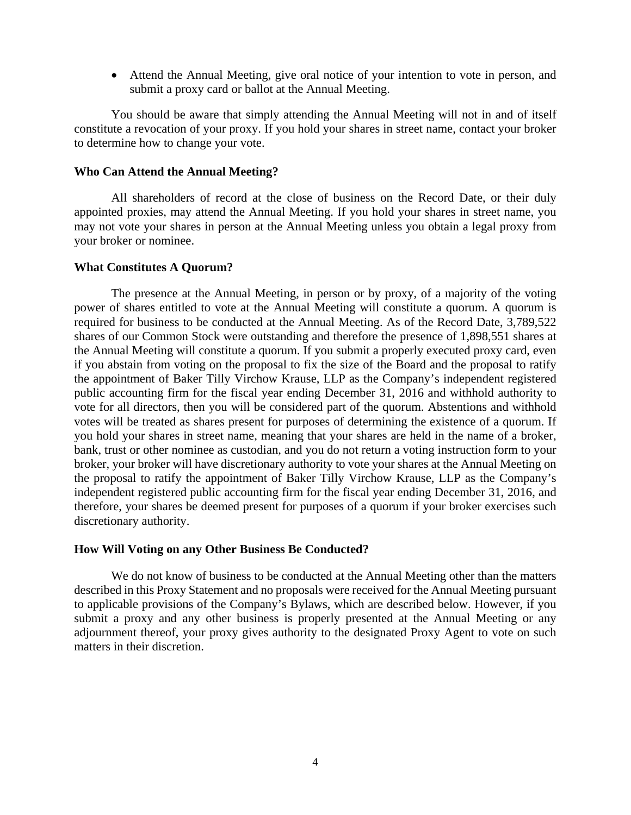Attend the Annual Meeting, give oral notice of your intention to vote in person, and submit a proxy card or ballot at the Annual Meeting.

You should be aware that simply attending the Annual Meeting will not in and of itself constitute a revocation of your proxy. If you hold your shares in street name, contact your broker to determine how to change your vote.

### **Who Can Attend the Annual Meeting?**

All shareholders of record at the close of business on the Record Date, or their duly appointed proxies, may attend the Annual Meeting. If you hold your shares in street name, you may not vote your shares in person at the Annual Meeting unless you obtain a legal proxy from your broker or nominee.

### **What Constitutes A Quorum?**

The presence at the Annual Meeting, in person or by proxy, of a majority of the voting power of shares entitled to vote at the Annual Meeting will constitute a quorum. A quorum is required for business to be conducted at the Annual Meeting. As of the Record Date, 3,789,522 shares of our Common Stock were outstanding and therefore the presence of 1,898,551 shares at the Annual Meeting will constitute a quorum. If you submit a properly executed proxy card, even if you abstain from voting on the proposal to fix the size of the Board and the proposal to ratify the appointment of Baker Tilly Virchow Krause, LLP as the Company's independent registered public accounting firm for the fiscal year ending December 31, 2016 and withhold authority to vote for all directors, then you will be considered part of the quorum. Abstentions and withhold votes will be treated as shares present for purposes of determining the existence of a quorum. If you hold your shares in street name, meaning that your shares are held in the name of a broker, bank, trust or other nominee as custodian, and you do not return a voting instruction form to your broker, your broker will have discretionary authority to vote your shares at the Annual Meeting on the proposal to ratify the appointment of Baker Tilly Virchow Krause, LLP as the Company's independent registered public accounting firm for the fiscal year ending December 31, 2016, and therefore, your shares be deemed present for purposes of a quorum if your broker exercises such discretionary authority.

### **How Will Voting on any Other Business Be Conducted?**

 We do not know of business to be conducted at the Annual Meeting other than the matters described in this Proxy Statement and no proposals were received for the Annual Meeting pursuant to applicable provisions of the Company's Bylaws, which are described below. However, if you submit a proxy and any other business is properly presented at the Annual Meeting or any adjournment thereof, your proxy gives authority to the designated Proxy Agent to vote on such matters in their discretion.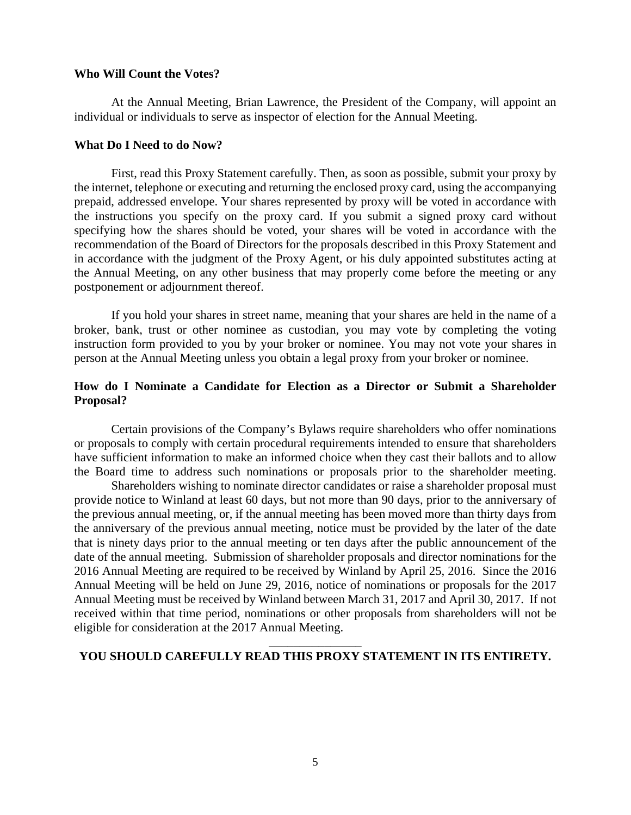#### **Who Will Count the Votes?**

At the Annual Meeting, Brian Lawrence, the President of the Company, will appoint an individual or individuals to serve as inspector of election for the Annual Meeting.

#### **What Do I Need to do Now?**

First, read this Proxy Statement carefully. Then, as soon as possible, submit your proxy by the internet, telephone or executing and returning the enclosed proxy card, using the accompanying prepaid, addressed envelope. Your shares represented by proxy will be voted in accordance with the instructions you specify on the proxy card. If you submit a signed proxy card without specifying how the shares should be voted, your shares will be voted in accordance with the recommendation of the Board of Directors for the proposals described in this Proxy Statement and in accordance with the judgment of the Proxy Agent, or his duly appointed substitutes acting at the Annual Meeting, on any other business that may properly come before the meeting or any postponement or adjournment thereof.

If you hold your shares in street name, meaning that your shares are held in the name of a broker, bank, trust or other nominee as custodian, you may vote by completing the voting instruction form provided to you by your broker or nominee. You may not vote your shares in person at the Annual Meeting unless you obtain a legal proxy from your broker or nominee.

# **How do I Nominate a Candidate for Election as a Director or Submit a Shareholder Proposal?**

Certain provisions of the Company's Bylaws require shareholders who offer nominations or proposals to comply with certain procedural requirements intended to ensure that shareholders have sufficient information to make an informed choice when they cast their ballots and to allow the Board time to address such nominations or proposals prior to the shareholder meeting.

Shareholders wishing to nominate director candidates or raise a shareholder proposal must provide notice to Winland at least 60 days, but not more than 90 days, prior to the anniversary of the previous annual meeting, or, if the annual meeting has been moved more than thirty days from the anniversary of the previous annual meeting, notice must be provided by the later of the date that is ninety days prior to the annual meeting or ten days after the public announcement of the date of the annual meeting. Submission of shareholder proposals and director nominations for the 2016 Annual Meeting are required to be received by Winland by April 25, 2016. Since the 2016 Annual Meeting will be held on June 29, 2016, notice of nominations or proposals for the 2017 Annual Meeting must be received by Winland between March 31, 2017 and April 30, 2017. If not received within that time period, nominations or other proposals from shareholders will not be eligible for consideration at the 2017 Annual Meeting.

# \_\_\_\_\_\_\_\_\_\_\_\_\_\_\_ **YOU SHOULD CAREFULLY READ THIS PROXY STATEMENT IN ITS ENTIRETY.**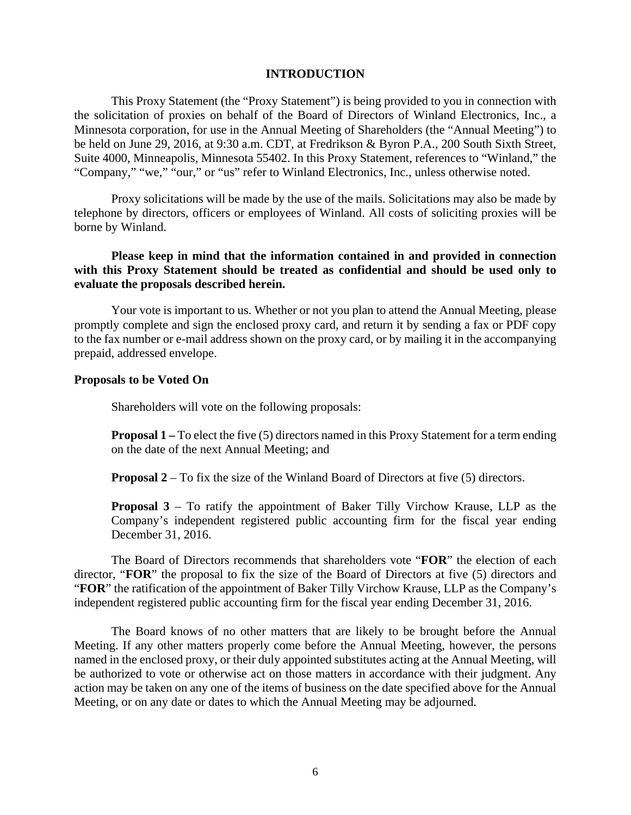### **INTRODUCTION**

This Proxy Statement (the "Proxy Statement") is being provided to you in connection with the solicitation of proxies on behalf of the Board of Directors of Winland Electronics, Inc., a Minnesota corporation, for use in the Annual Meeting of Shareholders (the "Annual Meeting") to be held on June 29, 2016, at 9:30 a.m. CDT, at Fredrikson & Byron P.A., 200 South Sixth Street, Suite 4000, Minneapolis, Minnesota 55402. In this Proxy Statement, references to "Winland," the "Company," "we," "our," or "us" refer to Winland Electronics, Inc., unless otherwise noted.

Proxy solicitations will be made by the use of the mails. Solicitations may also be made by telephone by directors, officers or employees of Winland. All costs of soliciting proxies will be borne by Winland.

### **Please keep in mind that the information contained in and provided in connection with this Proxy Statement should be treated as confidential and should be used only to evaluate the proposals described herein.**

Your vote is important to us. Whether or not you plan to attend the Annual Meeting, please promptly complete and sign the enclosed proxy card, and return it by sending a fax or PDF copy to the fax number or e-mail address shown on the proxy card, or by mailing it in the accompanying prepaid, addressed envelope.

#### **Proposals to be Voted On**

Shareholders will vote on the following proposals:

**Proposal 1** – To elect the five (5) directors named in this Proxy Statement for a term ending on the date of the next Annual Meeting; and

**Proposal 2** – To fix the size of the Winland Board of Directors at five (5) directors.

**Proposal 3** – To ratify the appointment of Baker Tilly Virchow Krause, LLP as the Company's independent registered public accounting firm for the fiscal year ending December 31, 2016.

The Board of Directors recommends that shareholders vote "**FOR**" the election of each director, "**FOR**" the proposal to fix the size of the Board of Directors at five (5) directors and "**FOR**" the ratification of the appointment of Baker Tilly Virchow Krause, LLP as the Company's independent registered public accounting firm for the fiscal year ending December 31, 2016.

The Board knows of no other matters that are likely to be brought before the Annual Meeting. If any other matters properly come before the Annual Meeting, however, the persons named in the enclosed proxy, or their duly appointed substitutes acting at the Annual Meeting, will be authorized to vote or otherwise act on those matters in accordance with their judgment. Any action may be taken on any one of the items of business on the date specified above for the Annual Meeting, or on any date or dates to which the Annual Meeting may be adjourned.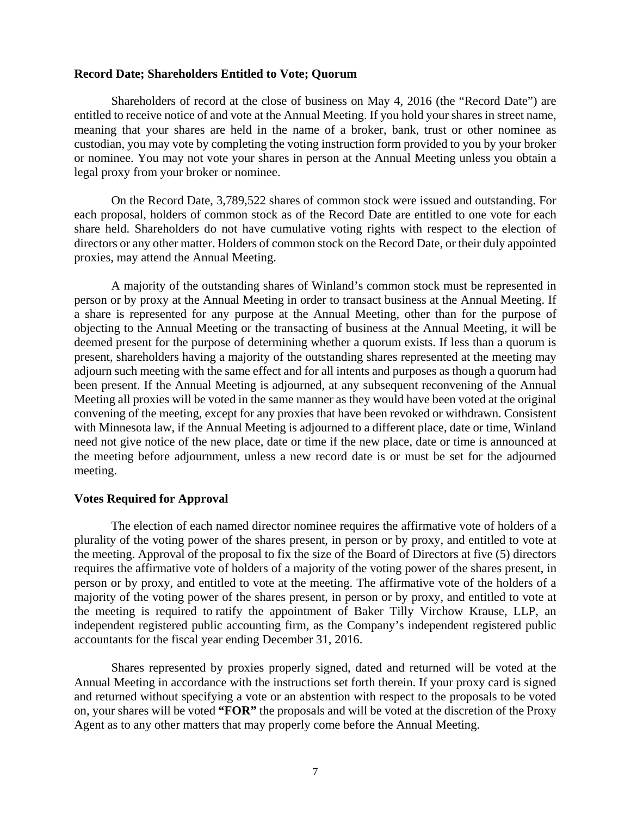#### **Record Date; Shareholders Entitled to Vote; Quorum**

Shareholders of record at the close of business on May 4, 2016 (the "Record Date") are entitled to receive notice of and vote at the Annual Meeting. If you hold your shares in street name, meaning that your shares are held in the name of a broker, bank, trust or other nominee as custodian, you may vote by completing the voting instruction form provided to you by your broker or nominee. You may not vote your shares in person at the Annual Meeting unless you obtain a legal proxy from your broker or nominee.

On the Record Date, 3,789,522 shares of common stock were issued and outstanding. For each proposal, holders of common stock as of the Record Date are entitled to one vote for each share held. Shareholders do not have cumulative voting rights with respect to the election of directors or any other matter. Holders of common stock on the Record Date, or their duly appointed proxies, may attend the Annual Meeting.

A majority of the outstanding shares of Winland's common stock must be represented in person or by proxy at the Annual Meeting in order to transact business at the Annual Meeting. If a share is represented for any purpose at the Annual Meeting, other than for the purpose of objecting to the Annual Meeting or the transacting of business at the Annual Meeting, it will be deemed present for the purpose of determining whether a quorum exists. If less than a quorum is present, shareholders having a majority of the outstanding shares represented at the meeting may adjourn such meeting with the same effect and for all intents and purposes as though a quorum had been present. If the Annual Meeting is adjourned, at any subsequent reconvening of the Annual Meeting all proxies will be voted in the same manner as they would have been voted at the original convening of the meeting, except for any proxies that have been revoked or withdrawn. Consistent with Minnesota law, if the Annual Meeting is adjourned to a different place, date or time, Winland need not give notice of the new place, date or time if the new place, date or time is announced at the meeting before adjournment, unless a new record date is or must be set for the adjourned meeting.

### **Votes Required for Approval**

The election of each named director nominee requires the affirmative vote of holders of a plurality of the voting power of the shares present, in person or by proxy, and entitled to vote at the meeting. Approval of the proposal to fix the size of the Board of Directors at five (5) directors requires the affirmative vote of holders of a majority of the voting power of the shares present, in person or by proxy, and entitled to vote at the meeting. The affirmative vote of the holders of a majority of the voting power of the shares present, in person or by proxy, and entitled to vote at the meeting is required to ratify the appointment of Baker Tilly Virchow Krause, LLP, an independent registered public accounting firm, as the Company's independent registered public accountants for the fiscal year ending December 31, 2016.

Shares represented by proxies properly signed, dated and returned will be voted at the Annual Meeting in accordance with the instructions set forth therein. If your proxy card is signed and returned without specifying a vote or an abstention with respect to the proposals to be voted on, your shares will be voted **"FOR"** the proposals and will be voted at the discretion of the Proxy Agent as to any other matters that may properly come before the Annual Meeting.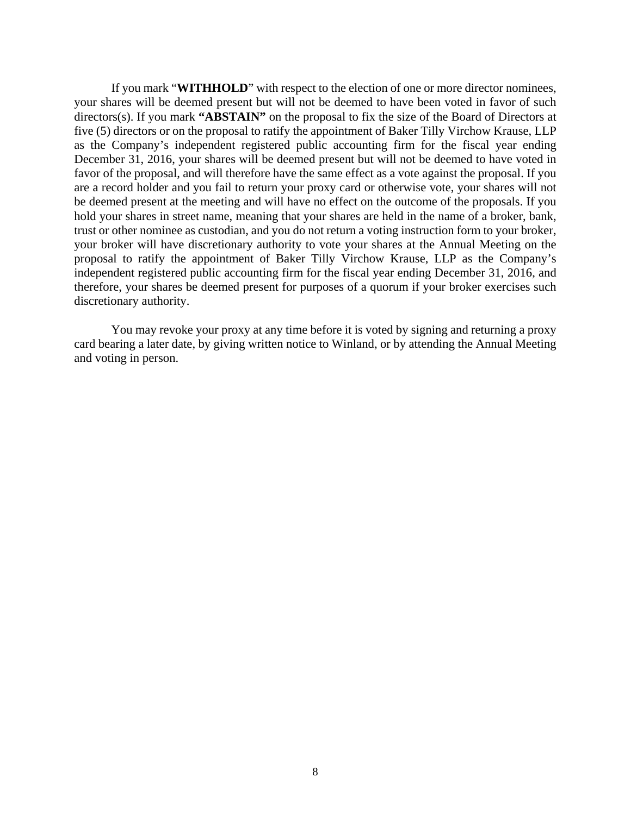If you mark "**WITHHOLD**" with respect to the election of one or more director nominees, your shares will be deemed present but will not be deemed to have been voted in favor of such directors(s). If you mark **"ABSTAIN"** on the proposal to fix the size of the Board of Directors at five (5) directors or on the proposal to ratify the appointment of Baker Tilly Virchow Krause, LLP as the Company's independent registered public accounting firm for the fiscal year ending December 31, 2016, your shares will be deemed present but will not be deemed to have voted in favor of the proposal, and will therefore have the same effect as a vote against the proposal. If you are a record holder and you fail to return your proxy card or otherwise vote, your shares will not be deemed present at the meeting and will have no effect on the outcome of the proposals. If you hold your shares in street name, meaning that your shares are held in the name of a broker, bank, trust or other nominee as custodian, and you do not return a voting instruction form to your broker, your broker will have discretionary authority to vote your shares at the Annual Meeting on the proposal to ratify the appointment of Baker Tilly Virchow Krause, LLP as the Company's independent registered public accounting firm for the fiscal year ending December 31, 2016, and therefore, your shares be deemed present for purposes of a quorum if your broker exercises such discretionary authority.

You may revoke your proxy at any time before it is voted by signing and returning a proxy card bearing a later date, by giving written notice to Winland, or by attending the Annual Meeting and voting in person.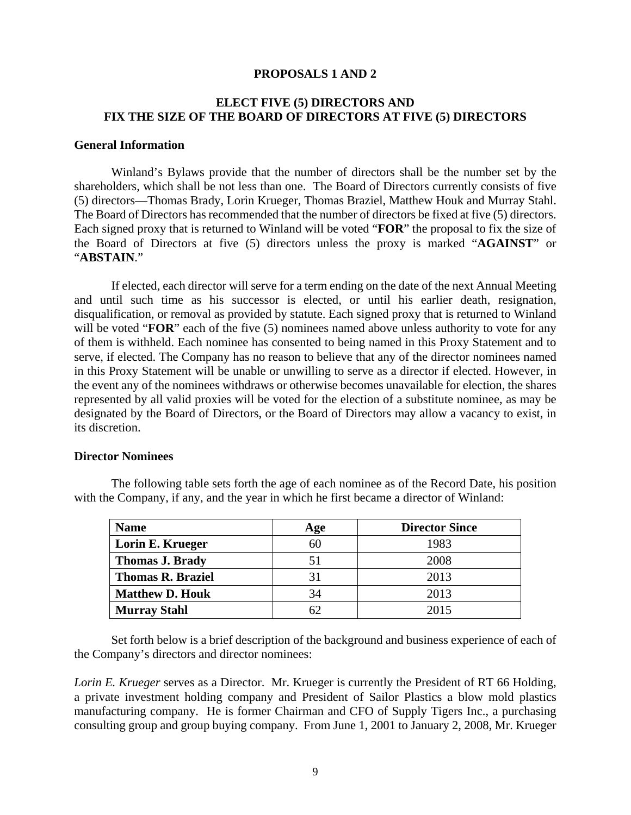### **PROPOSALS 1 AND 2**

# **ELECT FIVE (5) DIRECTORS AND FIX THE SIZE OF THE BOARD OF DIRECTORS AT FIVE (5) DIRECTORS**

### **General Information**

Winland's Bylaws provide that the number of directors shall be the number set by the shareholders, which shall be not less than one. The Board of Directors currently consists of five (5) directors—Thomas Brady, Lorin Krueger, Thomas Braziel, Matthew Houk and Murray Stahl. The Board of Directors has recommended that the number of directors be fixed at five (5) directors. Each signed proxy that is returned to Winland will be voted "**FOR**" the proposal to fix the size of the Board of Directors at five (5) directors unless the proxy is marked "**AGAINST**" or "**ABSTAIN**."

If elected, each director will serve for a term ending on the date of the next Annual Meeting and until such time as his successor is elected, or until his earlier death, resignation, disqualification, or removal as provided by statute. Each signed proxy that is returned to Winland will be voted "**FOR**" each of the five (5) nominees named above unless authority to vote for any of them is withheld. Each nominee has consented to being named in this Proxy Statement and to serve, if elected. The Company has no reason to believe that any of the director nominees named in this Proxy Statement will be unable or unwilling to serve as a director if elected. However, in the event any of the nominees withdraws or otherwise becomes unavailable for election, the shares represented by all valid proxies will be voted for the election of a substitute nominee, as may be designated by the Board of Directors, or the Board of Directors may allow a vacancy to exist, in its discretion.

#### **Director Nominees**

| <b>Name</b>              | Age | <b>Director Since</b> |
|--------------------------|-----|-----------------------|
| Lorin E. Krueger         |     | 1983                  |
| <b>Thomas J. Brady</b>   |     | 2008                  |
| <b>Thomas R. Braziel</b> |     | 2013                  |
| <b>Matthew D. Houk</b>   | 34  | 2013                  |
| <b>Murray Stahl</b>      |     | 2015                  |

The following table sets forth the age of each nominee as of the Record Date, his position with the Company, if any, and the year in which he first became a director of Winland:

Set forth below is a brief description of the background and business experience of each of the Company's directors and director nominees:

*Lorin E. Krueger* serves as a Director. Mr. Krueger is currently the President of RT 66 Holding, a private investment holding company and President of Sailor Plastics a blow mold plastics manufacturing company. He is former Chairman and CFO of Supply Tigers Inc., a purchasing consulting group and group buying company. From June 1, 2001 to January 2, 2008, Mr. Krueger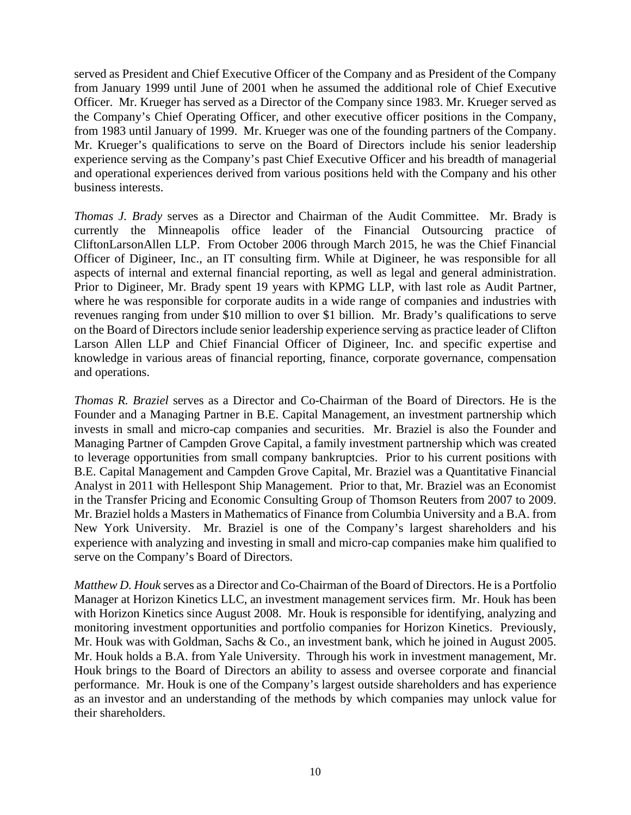served as President and Chief Executive Officer of the Company and as President of the Company from January 1999 until June of 2001 when he assumed the additional role of Chief Executive Officer. Mr. Krueger has served as a Director of the Company since 1983. Mr. Krueger served as the Company's Chief Operating Officer, and other executive officer positions in the Company, from 1983 until January of 1999. Mr. Krueger was one of the founding partners of the Company. Mr. Krueger's qualifications to serve on the Board of Directors include his senior leadership experience serving as the Company's past Chief Executive Officer and his breadth of managerial and operational experiences derived from various positions held with the Company and his other business interests.

*Thomas J. Brady* serves as a Director and Chairman of the Audit Committee. Mr. Brady is currently the Minneapolis office leader of the Financial Outsourcing practice of CliftonLarsonAllen LLP. From October 2006 through March 2015, he was the Chief Financial Officer of Digineer, Inc., an IT consulting firm. While at Digineer, he was responsible for all aspects of internal and external financial reporting, as well as legal and general administration. Prior to Digineer, Mr. Brady spent 19 years with KPMG LLP, with last role as Audit Partner, where he was responsible for corporate audits in a wide range of companies and industries with revenues ranging from under \$10 million to over \$1 billion. Mr. Brady's qualifications to serve on the Board of Directors include senior leadership experience serving as practice leader of Clifton Larson Allen LLP and Chief Financial Officer of Digineer, Inc. and specific expertise and knowledge in various areas of financial reporting, finance, corporate governance, compensation and operations.

*Thomas R. Braziel* serves as a Director and Co-Chairman of the Board of Directors. He is the Founder and a Managing Partner in B.E. Capital Management, an investment partnership which invests in small and micro-cap companies and securities. Mr. Braziel is also the Founder and Managing Partner of Campden Grove Capital, a family investment partnership which was created to leverage opportunities from small company bankruptcies. Prior to his current positions with B.E. Capital Management and Campden Grove Capital, Mr. Braziel was a Quantitative Financial Analyst in 2011 with Hellespont Ship Management. Prior to that, Mr. Braziel was an Economist in the Transfer Pricing and Economic Consulting Group of Thomson Reuters from 2007 to 2009. Mr. Braziel holds a Masters in Mathematics of Finance from Columbia University and a B.A. from New York University. Mr. Braziel is one of the Company's largest shareholders and his experience with analyzing and investing in small and micro-cap companies make him qualified to serve on the Company's Board of Directors.

*Matthew D. Houk* serves as a Director and Co-Chairman of the Board of Directors. He is a Portfolio Manager at Horizon Kinetics LLC, an investment management services firm. Mr. Houk has been with Horizon Kinetics since August 2008. Mr. Houk is responsible for identifying, analyzing and monitoring investment opportunities and portfolio companies for Horizon Kinetics. Previously, Mr. Houk was with Goldman, Sachs & Co., an investment bank, which he joined in August 2005. Mr. Houk holds a B.A. from Yale University. Through his work in investment management, Mr. Houk brings to the Board of Directors an ability to assess and oversee corporate and financial performance. Mr. Houk is one of the Company's largest outside shareholders and has experience as an investor and an understanding of the methods by which companies may unlock value for their shareholders.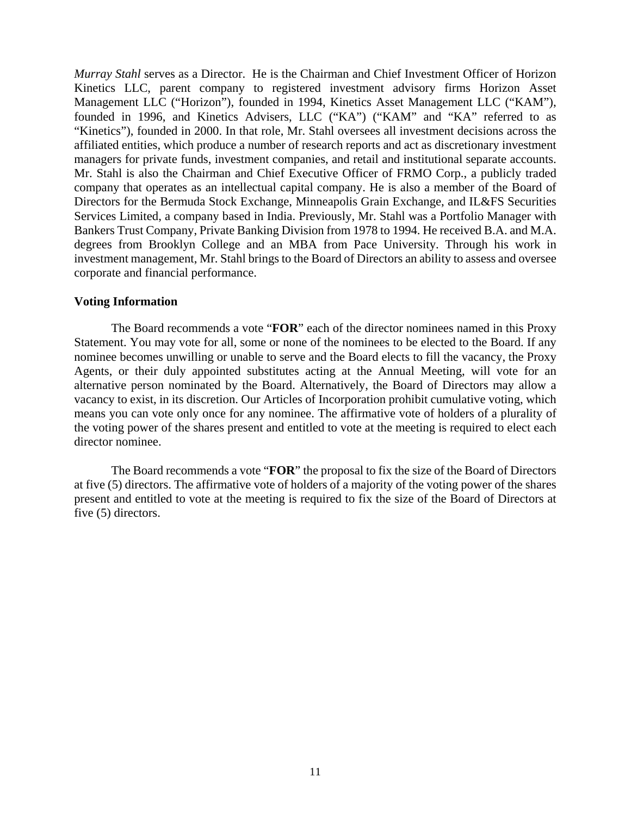*Murray Stahl* serves as a Director. He is the Chairman and Chief Investment Officer of Horizon Kinetics LLC, parent company to registered investment advisory firms Horizon Asset Management LLC ("Horizon"), founded in 1994, Kinetics Asset Management LLC ("KAM"), founded in 1996, and Kinetics Advisers, LLC ("KA") ("KAM" and "KA" referred to as "Kinetics"), founded in 2000. In that role, Mr. Stahl oversees all investment decisions across the affiliated entities, which produce a number of research reports and act as discretionary investment managers for private funds, investment companies, and retail and institutional separate accounts. Mr. Stahl is also the Chairman and Chief Executive Officer of FRMO Corp., a publicly traded company that operates as an intellectual capital company. He is also a member of the Board of Directors for the Bermuda Stock Exchange, Minneapolis Grain Exchange, and IL&FS Securities Services Limited, a company based in India. Previously, Mr. Stahl was a Portfolio Manager with Bankers Trust Company, Private Banking Division from 1978 to 1994. He received B.A. and M.A. degrees from Brooklyn College and an MBA from Pace University. Through his work in investment management, Mr. Stahl brings to the Board of Directors an ability to assess and oversee corporate and financial performance.

### **Voting Information**

The Board recommends a vote "**FOR**" each of the director nominees named in this Proxy Statement. You may vote for all, some or none of the nominees to be elected to the Board. If any nominee becomes unwilling or unable to serve and the Board elects to fill the vacancy, the Proxy Agents, or their duly appointed substitutes acting at the Annual Meeting, will vote for an alternative person nominated by the Board. Alternatively, the Board of Directors may allow a vacancy to exist, in its discretion. Our Articles of Incorporation prohibit cumulative voting, which means you can vote only once for any nominee. The affirmative vote of holders of a plurality of the voting power of the shares present and entitled to vote at the meeting is required to elect each director nominee.

The Board recommends a vote "**FOR**" the proposal to fix the size of the Board of Directors at five (5) directors. The affirmative vote of holders of a majority of the voting power of the shares present and entitled to vote at the meeting is required to fix the size of the Board of Directors at five (5) directors.